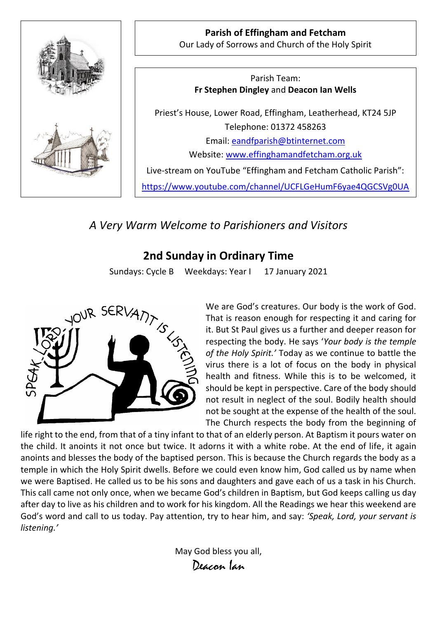

**Parish of Effingham and Fetcham** Our Lady of Sorrows and Church of the Holy Spirit

Parish Team: **Fr Stephen Dingley** and **Deacon Ian Wells**

Priest's House, Lower Road, Effingham, Leatherhead, KT24 5JP Telephone: 01372 458263 Email: [eandfparish@btinternet.com](mailto:eandfparish@btinternet.com) Website: [www.effinghamandfetcham.org.uk](http://www.effinghamandfetcham.org.uk/)

Live-stream on YouTube "Effingham and Fetcham Catholic Parish":

<https://www.youtube.com/channel/UCFLGeHumF6yae4QGCSVg0UA>

*A Very Warm Welcome to Parishioners and Visitors*

# **2nd Sunday in Ordinary Time**

Sundays: Cycle B Weekdays: Year I 17 January 2021



We are God's creatures. Our body is the work of God. That is reason enough for respecting it and caring for it. But St Paul gives us a further and deeper reason for respecting the body. He says '*Your body is the temple of the Holy Spirit.'* Today as we continue to battle the virus there is a lot of focus on the body in physical health and fitness. While this is to be welcomed, it should be kept in perspective. Care of the body should not result in neglect of the soul. Bodily health should not be sought at the expense of the health of the soul. The Church respects the body from the beginning of

life right to the end, from that of a tiny infant to that of an elderly person. At Baptism it pours water on the child. It anoints it not once but twice. It adorns it with a white robe. At the end of life, it again anoints and blesses the body of the baptised person. This is because the Church regards the body as a temple in which the Holy Spirit dwells. Before we could even know him, God called us by name when we were Baptised. He called us to be his sons and daughters and gave each of us a task in his Church. This call came not only once, when we became God's children in Baptism, but God keeps calling us day after day to live as his children and to work for his kingdom. All the Readings we hear this weekend are God's word and call to us today. Pay attention, try to hear him, and say: *'Speak, Lord, your servant is listening.'*

> May God bless you all, Deacon Ian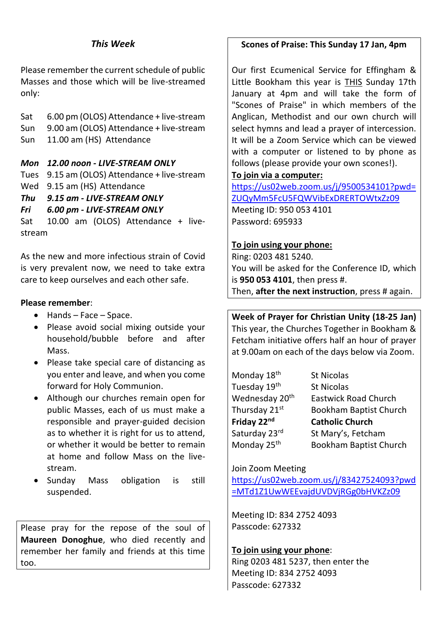# *This Week*

Please remember the current schedule of public Masses and those which will be live-streamed only:

| Sat | 6.00 pm (OLOS) Attendance + live-stream |
|-----|-----------------------------------------|
| Sun | 9.00 am (OLOS) Attendance + live-stream |
| Sun | 11.00 am (HS) Attendance                |

*Mon 12.00 noon - LIVE-STREAM ONLY* Tues 9.15 am (OLOS) Attendance + live-stream Wed 9.15 am (HS) Attendance

*Thu 9.15 am - LIVE-STREAM ONLY*

*Fri 6.00 pm - LIVE-STREAM ONLY*

Sat 10.00 am (OLOS) Attendance + livestream

As the new and more infectious strain of Covid is very prevalent now, we need to take extra care to keep ourselves and each other safe.

### **Please remember**:

- Hands Face Space.
- Please avoid social mixing outside your household/bubble before and after Mass.
- Please take special care of distancing as you enter and leave, and when you come forward for Holy Communion.
- Although our churches remain open for public Masses, each of us must make a responsible and prayer-guided decision as to whether it is right for us to attend, or whether it would be better to remain at home and follow Mass on the livestream.
- Sunday Mass obligation is still suspended.

Please pray for the repose of the soul of **Maureen Donoghue**, who died recently and remember her family and friends at this time too.

## **Scones of Praise: This Sunday 17 Jan, 4pm**

Our first Ecumenical Service for Effingham & Little Bookham this year is THIS Sunday 17th January at 4pm and will take the form of "Scones of Praise" in which members of the Anglican, Methodist and our own church will select hymns and lead a prayer of intercession. It will be a Zoom Service which can be viewed with a computer or listened to by phone as follows (please provide your own scones!).

### **To join via a computer:**

[https://us02web.zoom.us/j/9500534101?pwd=](https://us02web.zoom.us/j/9500534101?pwd=ZUQyMm5FcU5FQWVibExDRERTOWtxZz09) [ZUQyMm5FcU5FQWVibExDRERTOWtxZz09](https://us02web.zoom.us/j/9500534101?pwd=ZUQyMm5FcU5FQWVibExDRERTOWtxZz09) Meeting ID: 950 053 4101 Password: 695933

### **To join using your phone:**

Ring: 0203 481 5240. You will be asked for the Conference ID, which is **950 053 4101**, then press #. Then, **after the next instruction**, press # again.

# **Week of Prayer for Christian Unity (18-25 Jan)**

This year, the Churches Together in Bookham & Fetcham initiative offers half an hour of prayer at 9.00am on each of the days below via Zoom.

| Monday 18 <sup>th</sup>    |
|----------------------------|
| Tuesday 19 <sup>th</sup>   |
| Wednesday 20 <sup>th</sup> |
| Thursday 21st              |
| Friday 22 <sup>nd</sup>    |
| Saturday 23 <sup>rd</sup>  |
| Monday 25 <sup>th</sup>    |

St Nicolas St Nicolas Eastwick Road Church Bookham Baptist Church **Catholic Church** St Mary's, Fetcham Bookham Baptist Church

Join Zoom Meeting

[https://us02web.zoom.us/j/83427524093?pwd](https://us02web.zoom.us/j/83427524093?pwd=MTd1Z1UwWEEvajdUVDVjRGg0bHVKZz09) [=MTd1Z1UwWEEvajdUVDVjRGg0bHVKZz09](https://us02web.zoom.us/j/83427524093?pwd=MTd1Z1UwWEEvajdUVDVjRGg0bHVKZz09)

Meeting ID: 834 2752 4093 Passcode: 627332

#### **To join using your phone**:

Ring 0203 481 5237, then enter the Meeting ID: 834 2752 4093 Passcode: 627332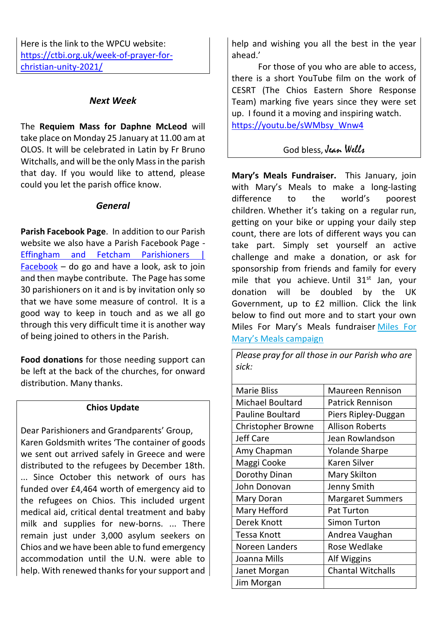Here is the link to the WPCU website: [https://ctbi.org.uk/week-of-prayer-for](https://ctbi.org.uk/week-of-prayer-for-christian-unity-2021/)[christian-unity-2021/](https://ctbi.org.uk/week-of-prayer-for-christian-unity-2021/)

#### *Next Week*

The **Requiem Mass for Daphne McLeod** will take place on Monday 25 January at 11.00 am at OLOS. It will be celebrated in Latin by Fr Bruno Witchalls, and will be the only Mass in the parish that day. If you would like to attend, please could you let the parish office know.

#### *General*

**Parish Facebook Page**. In addition to our Parish website we also have a Parish Facebook Page - Effingham and Fetcham Parishioners |  $Facebook – do go and have a look, ask to join$  $Facebook – do go and have a look, ask to join$  $Facebook – do go and have a look, ask to join$ </u> and then maybe contribute. The Page has some 30 parishioners on it and is by invitation only so that we have some measure of control. It is a good way to keep in touch and as we all go through this very difficult time it is another way of being joined to others in the Parish.

**Food donations** for those needing support can be left at the back of the churches, for onward distribution. Many thanks.

#### **Chios Update**

Dear Parishioners and Grandparents' Group, Karen Goldsmith writes 'The container of goods we sent out arrived safely in Greece and were distributed to the refugees by December 18th. ... Since October this network of ours has funded over £4,464 worth of emergency aid to the refugees on Chios. This included urgent medical aid, critical dental treatment and baby milk and supplies for new-borns. ... There remain just under 3,000 asylum seekers on Chios and we have been able to fund emergency accommodation until the U.N. were able to help. With renewed thanks for your support and help and wishing you all the best in the year ahead.'

For those of you who are able to access, there is a short YouTube film on the work of CESRT (The Chios Eastern Shore Response Team) marking five years since they were set up. I found it a moving and inspiring watch. [https://youtu.be/sWMbsy\\_Wnw4](https://youtu.be/sWMbsy_Wnw4)

### God bless, Jean Wells

**Mary's Meals Fundraiser.** This January, join with Mary's Meals to make a long-lasting difference to the world's poorest children. Whether it's taking on a regular run, getting on your bike or upping your daily step count, there are lots of different ways you can take part. Simply set yourself an active challenge and make a donation, or ask for sponsorship from friends and family for every mile that you achieve. Until  $31<sup>st</sup>$  Jan, your donation will be doubled by the UK Government, up to £2 million. Click the link below to find out more and to start your own Miles For Mary's Meals fundraiser [Miles For](https://marysmeals.us18.list-manage.com/track/click?u=71642ed3d70deb2b1c25da8f0&id=214fbd3cf0&e=32ecf29071)  [Mary's Meals campaign](https://marysmeals.us18.list-manage.com/track/click?u=71642ed3d70deb2b1c25da8f0&id=214fbd3cf0&e=32ecf29071)

*Please pray for all those in our Parish who are sick:*

| <b>Maureen Rennison</b>  |  |
|--------------------------|--|
| <b>Patrick Rennison</b>  |  |
| Piers Ripley-Duggan      |  |
| <b>Allison Roberts</b>   |  |
| Jean Rowlandson          |  |
| <b>Yolande Sharpe</b>    |  |
| Karen Silver             |  |
| Mary Skilton             |  |
| Jenny Smith              |  |
| <b>Margaret Summers</b>  |  |
| <b>Pat Turton</b>        |  |
| <b>Simon Turton</b>      |  |
| Andrea Vaughan           |  |
| Rose Wedlake             |  |
| Alf Wiggins              |  |
| <b>Chantal Witchalls</b> |  |
|                          |  |
|                          |  |